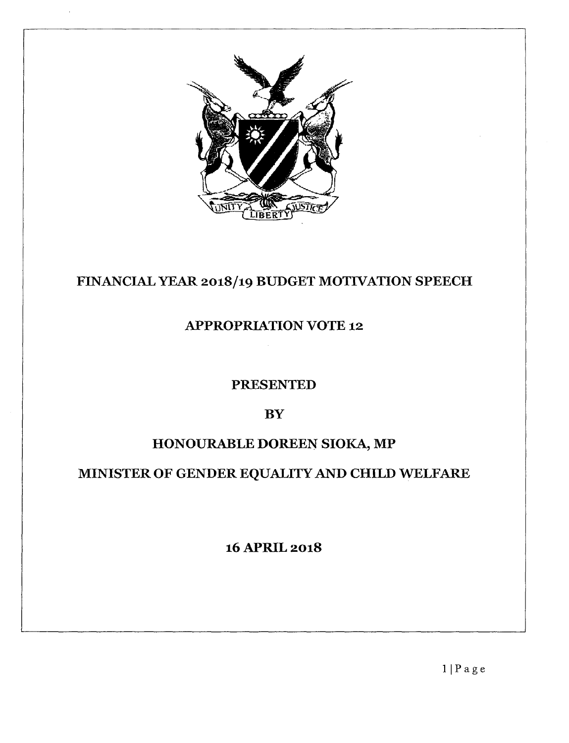

## FINANCIAL YEAR 2018/19 BUDGET MOTIVATION SPEECH

## APPROPRIATION VOTE 12

### PRESENTED

### **BY**

## HONOURABLE DOREEN SIOKA, MP

# MINISTER OF GENDER EQUALITY AND CHILD WELFARE

### 16APRIL 2018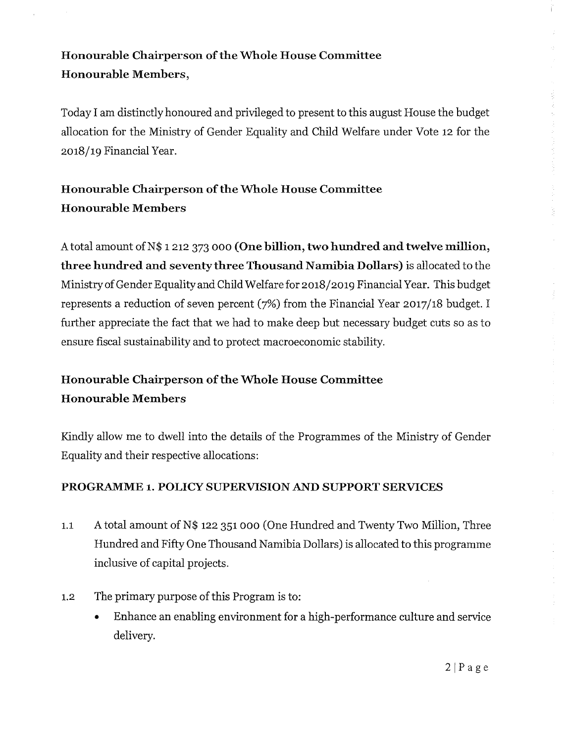### Honourable Chairperson of the Whole House Committee Honourable Members,

Today I am distinctly honoured and privileged to present to this august House the budget allocation for the Ministry of Gender Equality and Child Welfare under Vote 12 for the 2018/19 Financial Year.

## Honourable Chairperson of the Whole House Committee Honourable Members

A total amount of N\$ 1 212 373 000 (One billion, two hundred and twelve million, three hundred and seventy three Thousand Namibia Dollars) is allocated to the Ministry of Gender Equality and Child Welfare for 2018/2019 Financial Year. This budget represents a reduction of seven percent (7%) from the Financial Year 2017/18 budget. I further appreciate the fact that we had to make deep but necessary budget cuts so as to ensure fiscal sustainability and to protect macroeconomic stability.

## Honourable Chairperson of the Whole House Committee Honourable Members

Kindly allow me to dwell into the details of the Programmes of the Ministry of Gender Equality and their respective allocations:

#### PROGRAMME 1. POLICY SUPERVISION AND SUPPORT SERVICES

- 1.1 A total amount of N\$ 122 351 000 (One Hundred and Twenty Two Million, Three Hundred and Fifty One Thousand Namibia Dollars) is allocated to this programme inclusive of capital projects.
- 1.2 The primary purpose of this Program is to:
	- Enhance an enabling environment for a high-performance culture and service delivery.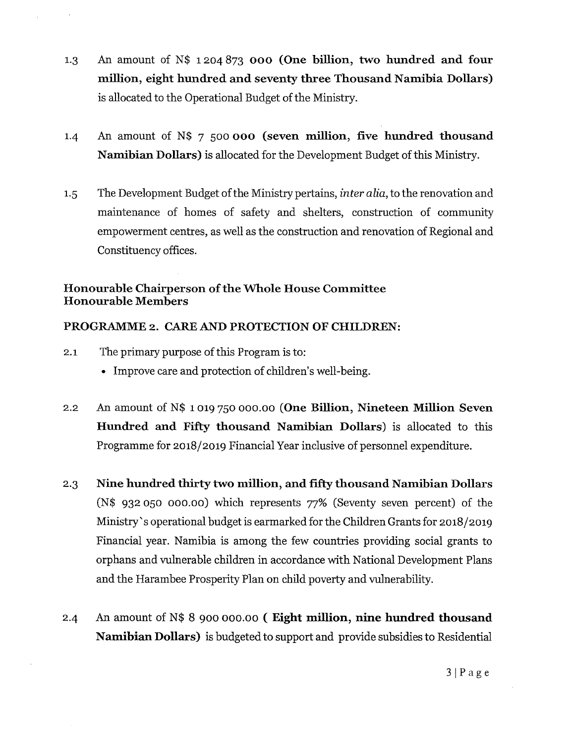- 1.3 An amount of N\$ 1204873 000 (One billion, two hundred and four million, eight hundred and seventy three Thousand Namibia Dollars) is allocated to the Operational Budget of the Ministry.
- 1.4 An amount of N\$ 7 500 000 (seven million, five hundred thousand Namibian Dollars) is allocated for the Development Budget of this Ministry.
- 1.5 The Development Budget of the Ministry pertains, *inter alia,* to the renovation and maintenance of homes of safety and shelters, construction of community empowerment centres, as well as the construction and renovation of Regional and Constituency offices.

#### Honourable Chairperson of the Whole House Committee Honourable Members

#### PROGRAMME 2. CARE AND PROTECTION OF CHILDREN:

- 2.1 The primary purpose of this Program is to:
	- Improve care and protection of children's well-being.
- 2.2 An amount of N\$ 1019 750 000.00 (One Billion, Nineteen Million Seven Hundred and Fifty thousand Namibian Dollars) is allocated to this Programme for 2018/2019 Financial Year inclusive of personnel expenditure.
- 2.3 Nine hundred thirty two million, and fifty thousand Namibian Dollars (N\$ 932050 000.00) which represents 77% (Seventy seven percent) of the Ministry's operational budget is earmarked for the Children Grants for 2018/2019 Financial year. Namibia is among the few countries providing social grants to orphans and vulnerable children in accordance with National Development Plans and the Harambee Prosperity Plan on child poverty and vulnerability.
- 2.4 An amount of N\$ 8 900 000.00 ( Eight million, nine hundred thousand Namibian Dollars) is budgeted to support and provide subsidies to Residential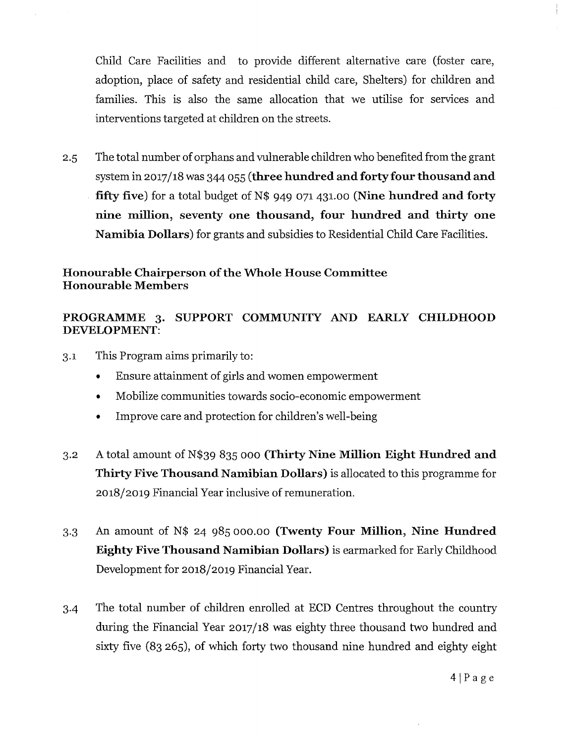Child Care Facilities and to provide different alternative care (foster care, adoption, place of safety and residential child care, Shelters) for children and families. This is also the same allocation that we utilise for services and interventions targeted at children on the streets.

2.5 The total number of orphans and vulnerable children who benefited from the grant system in 2017/18 was 344 055 **(three hundred and** forty four **thousand and fifty five)** for a total budget of N\$ 949 071431.00 **(Nine hundred and forty nine million, seventy one thousand, four hundred and thirty one Namibia Dollars)** for grants and subsidies to Residential Child Care Facilities.

#### **Honourable Chairperson of the Whole House Committee Honourable Members**

#### **PROGRAMME 3. SUPPORT COMMUNITY AND EARLY CHILDHOOD DEVELOPMENT:**

- 3.1 This Program aims primarily to:
	- Ensure attainment of girls and women empowerment
	- Mobilize communities towards socio-economic empowerment
	- Improve care and protection for children's well-being
- 3.2 A total amount of N\$39 835 000 **(Thirty Nine Million Eight Hundred and Thirty Five Thousand Namibian Dollars)** is allocated to this programme for 2018/2019 Financial Year inclusive of remuneration.
- 3.3 An amount of N\$ 24 985 000.00 **(Twenty Four Million, Nine Hundred Eighty Five Thousand Namibian Dollars)** is earmarked for Early Childhood Development for 2018/2019 Financial Year.
- 3-4 The total number of children enrolled at ECD Centres throughout the country during the Financial Year 2017/18 was eighty three thousand two hundred and sixty five (83 265), of which forty two thousand nine hundred and eighty eight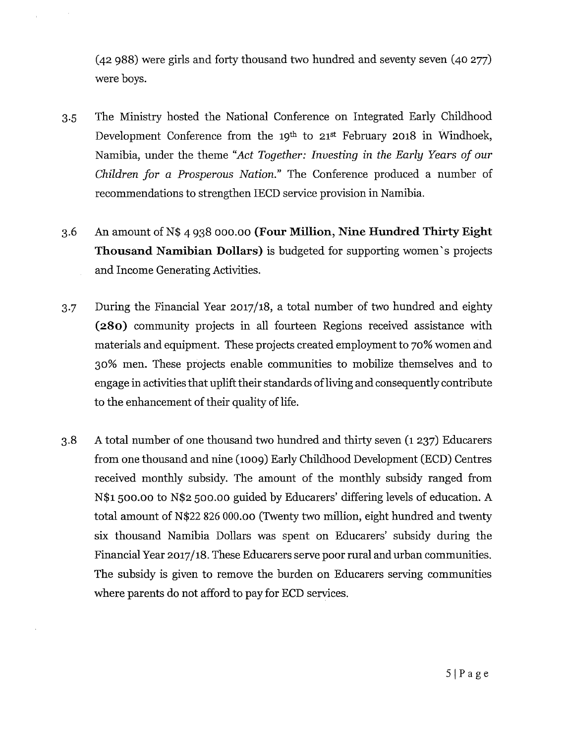(42 988) were girls and forty thousand two hundred and seventy seven (40 277) were boys.

- 3.5 The Ministry hosted the National Conference on Integrated Early Childhood Development Conference from the 19<sup>th</sup> to 21<sup>st</sup> February 2018 in Windhoek, Namibia, under the theme *"Act Together: Investing* in *the Early Years of our Children for a Prosperous Nation."* The Conference produced a number of recommendations to strengthen IECD service provision in Namibia.
- 3.6 An amount of N\$ 4938 000.00 **(Four Million, Nine Hundred Thirty Eight Thousand Namibian Dollars)** is budgeted for supporting women's projects and Income Generating Activities.
- 3.7 During the Financial Year 2017/18, a total number of two hundred and eighty **(280)** community projects in all fourteen Regions received assistance with materials and equipment. These projects created employment to 70% women and 30% men. These projects enable communities to mobilize themselves and to engage in activities that uplift their standards of living and consequently contribute to the enhancement of their quality of life.
- 3.8 A total number of one thousand two hundred and thirty seven (1 237) Educarers from one thousand and nine (1009) Early Childhood Development (ECD) Centres received monthly subsidy. The amount of the monthly subsidy ranged from N\$l 500.00 to N\$2 500.00 guided by Educarers' differing levels of education. A total amount of N\$22 826 000.00 (Twenty two million, eight hundred and twenty six thousand Namibia Dollars was spent on Educarers' subsidy during the Financial Year 2017/18. These Educarers serve poor rural and urban communities. The subsidy is given to remove the burden on Educarers serving communities where parents do not afford to pay for ECD services.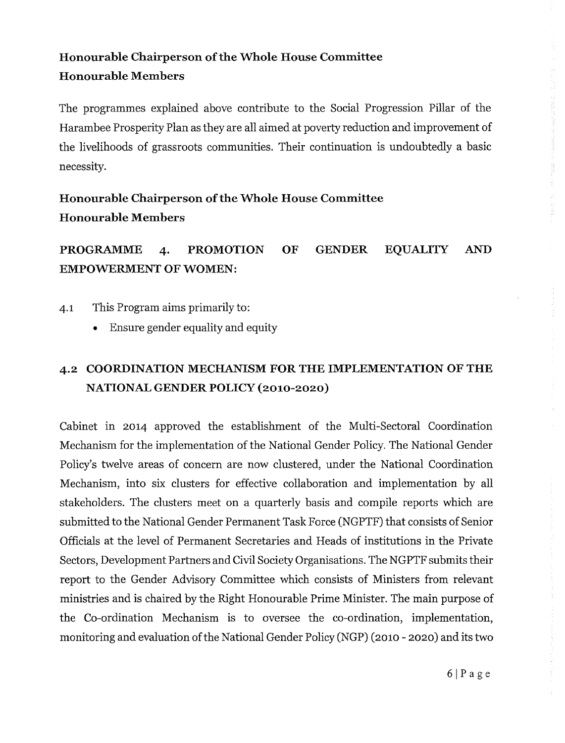## **Honourable Chairperson** of the **Whole House Committee Honourable Members**

The programmes explained above contribute to the Social Progression Pillar of the Harambee Prosperity Plan as they are all aimed at poverty reduction and improvement of the livelihoods of grassroots communities. Their continuation is undoubtedly a basic necessity.

## **Honourable Chairperson of the Whole House Committee Honourable Members**

## **PROGRAMME 4. PROMOTION OF GENDER EQUALITY AND EMPOWERMENT OF WOMEN:**

- 4.1 This Program aims primarily to:
	- Ensure gender equality and equity

### **4.2 COORDINATION MECHANISM FOR THE IMPLEMENTATION OF THE NATIONAL GENDER POLICY(2010-2020)**

Cabinet in 2014 approved the establishment of the Multi-Sectoral Coordination Mechanism for the implementation of the National Gender Policy. The National Gender Policy's twelve areas of concern are now clustered, under the National Coordination Mechanism, into six clusters for effective collaboration and implementation by all stakeholders. The clusters meet on a quarterly basis and compile reports which are submitted to the National Gender Permanent Task Force (NGPTF) that consists of Senior Officials at the level of Permanent Secretaries and Heads of institutions in the Private Sectors, Development Partners and Civil Society Organisations. The NGPTF submits their report to the Gender Advisory Committee which consists of Ministers from relevant ministries and is chaired by the Right Honourable Prime Minister. The main purpose of the Co-ordination Mechanism is to oversee the co-ordination, implementation, monitoring and evaluation of the National Gender Policy (NGP) (2010 - 2020) and its two

经生产的 医骨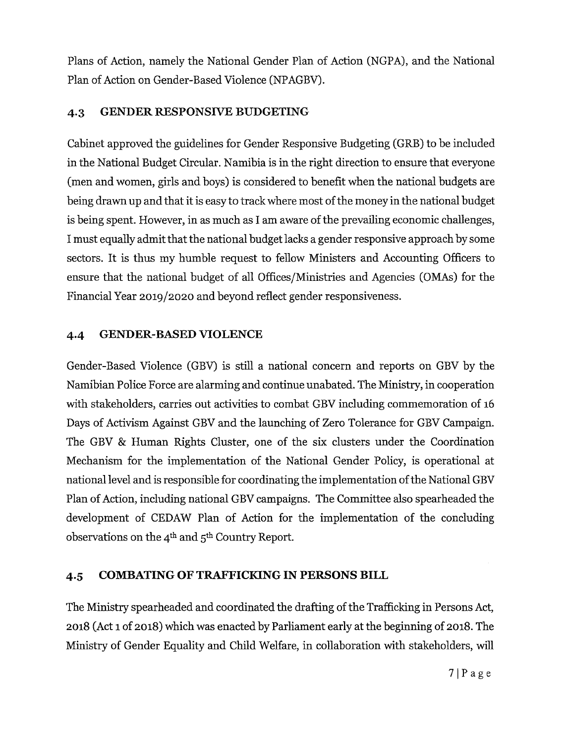Plans of Action, namely the National Gender Plan of Action (NGPA), and the National Plan of Action on Gender-Based Violence (NPAGBV).

#### **4.3 GENDER RESPONSIVE BUDGETING**

Cabinet approved the guidelines for Gender Responsive Budgeting (GRB) to be included in the National Budget Circular. Namibia is in the right direction to ensure that everyone (men and women, girls and boys) is considered to benefit when the national budgets are being drawn up and that it is easy to track where most of the money in the national budget is being spent. However, in as much as I am aware of the prevailing economic challenges, Imust equally admit that the national budget lacks <sup>a</sup> gender responsive approach by some sectors. It is thus my humble request to fellow Ministers and Accounting Officers to ensure that the national budget of all Offices/Ministries and Agencies (OMAs) for the Financial Year 2019/2020 and beyond reflect gender responsiveness.

#### **4.4 GENDER-BASED VIOLENCE**

Gender-Based Violence (GBV) is still a national concern and reports on GBV by the Namibian Police Force are alarming and continue unabated. The Ministry, in cooperation with stakeholders, carries out activities to combat GBV including commemoration of 16 Days of Activism Against GBV and the launching of Zero Tolerance for GBV Campaign. The GBV & Human Rights Cluster, one of the six clusters under the Coordination Mechanism for the implementation of the National Gender Policy, is operational at national level and is responsible for coordinating the implementation of the National GBV Plan of Action, including national GBV campaigns. The Committee also spearheaded the development of CEDAW Plan of Action for the implementation of the concluding observations on the  $4<sup>th</sup>$  and  $5<sup>th</sup>$  Country Report.

#### **4.5 COMBATINGOF TRAFFICKINGIN PERSONS BILL**

The Ministry spearheaded and coordinated the drafting of the Trafficking in Persons Act, 2018 (Act 1 of 2018) which was enacted by Parliament early at the beginning of 2018. The Ministry of Gender Equality and Child Welfare, in collaboration with stakeholders, will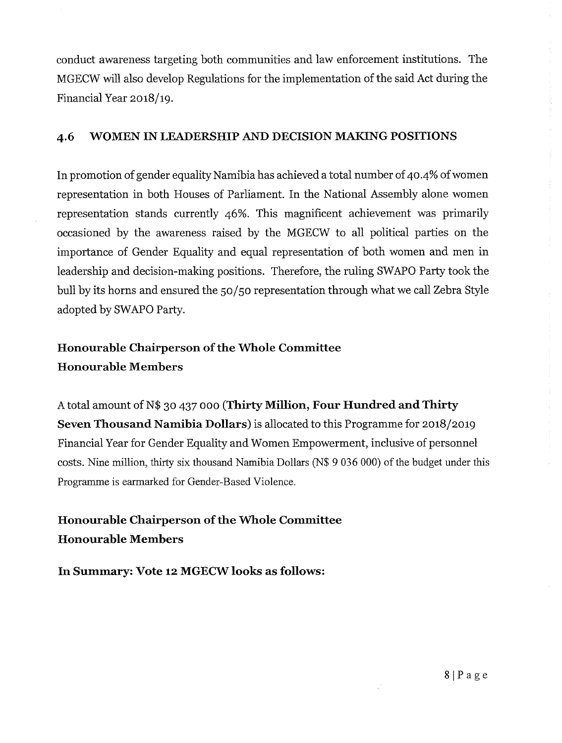conduct awareness targeting both communities and law enforcement institutions. The MGECW will also develop Regulations for the implementation of the said Act during the Financial Year 2018/19.

#### **4.6 WOMEN IN LEADERSHIPAND DECISIONMAKING POSITIONS**

In promotion of gender equality Namibia has achieved a total number of 40.4% of women representation in both Houses of Parliament. In the National Assembly alone women representation stands currently 46%. This magnificent achievement was primarily occasioned by the awareness raised by the MGECW to all political parties on the importance of Gender Equality and equal representation of both women and men in leadership and decision-making positions. Therefore, the ruling SWAPO Party took the bull by its horns and ensured the 50/50 representation through what we call Zebra Style adopted by SWAPO Party.

### **Honourable Chairperson of the Whole Committee Honourable Members**

A total amount of N\$ 30 437 000 **(Thirty Million, Four Hundred and Thirty Seven Thousand Namibia Dollars)** is allocated to this Programme for 2018/2019 Financial Year for Gender Equality and Women Empowerment, inclusive of personnel costs. Nine million, thirty six thousand Namibia Dollars (N\$ 9 036 000) of the budget under this Programme is earmarked for Gender-Based Violence.

### **Honourable Chairperson of the Whole Committee Honourable Members**

**In Summary: Vote 12 MGECWlooks as follows:**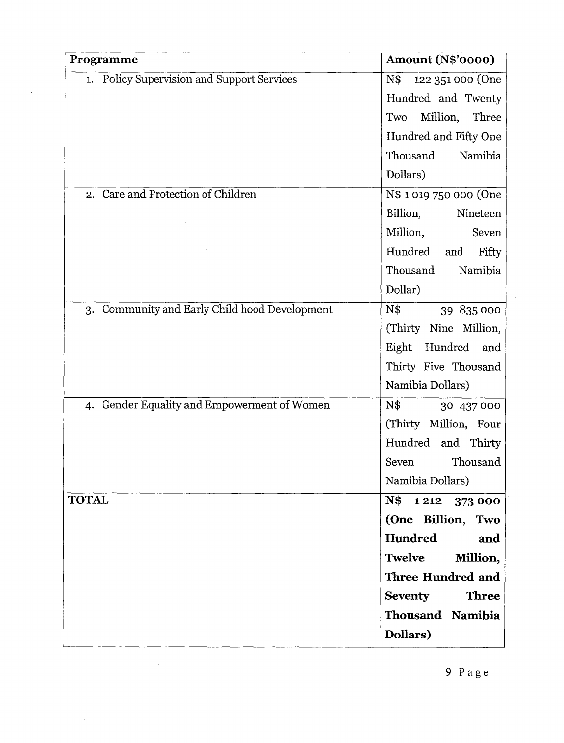| Programme                                     | <b>Amount (N\$'0000)</b>       |
|-----------------------------------------------|--------------------------------|
| 1. Policy Supervision and Support Services    | N\$<br>122 351 000 (One        |
|                                               | Hundred and Twenty             |
|                                               | Million, Three<br>Two          |
|                                               | Hundred and Fifty One          |
|                                               | Thousand<br>Namibia            |
|                                               | Dollars)                       |
| 2. Care and Protection of Children            | N\$ 1019 750 000 (One          |
|                                               | Billion,<br>Nineteen           |
|                                               | Million,<br>Seven              |
|                                               | Hundred<br>and<br>Fifty        |
|                                               | Thousand<br>Namibia            |
|                                               | Dollar)                        |
| 3. Community and Early Child hood Development | $N\$<br>39 835 000             |
|                                               | (Thirty Nine Million,          |
|                                               | Eight<br>Hundred and           |
|                                               | Thirty Five Thousand           |
|                                               | Namibia Dollars)               |
| 4. Gender Equality and Empowerment of Women   | $N\$<br>30 437 000             |
|                                               | (Thirty Million, Four          |
|                                               | Hundred and Thirty             |
|                                               | Thousand<br>Seven              |
|                                               | Namibia Dollars)               |
| <b>TOTAL</b>                                  | N\$<br>1 2 1 2<br>373 000      |
|                                               | (One Billion, Two              |
|                                               | Hundred<br>and                 |
|                                               | Twelve<br>Million,             |
|                                               | Three Hundred and              |
|                                               | <b>Three</b><br><b>Seventy</b> |
|                                               | Thousand Namibia               |
|                                               | Dollars)                       |

 $\sim 10^{-1}$ 

 $\ddot{\phantom{0}}$